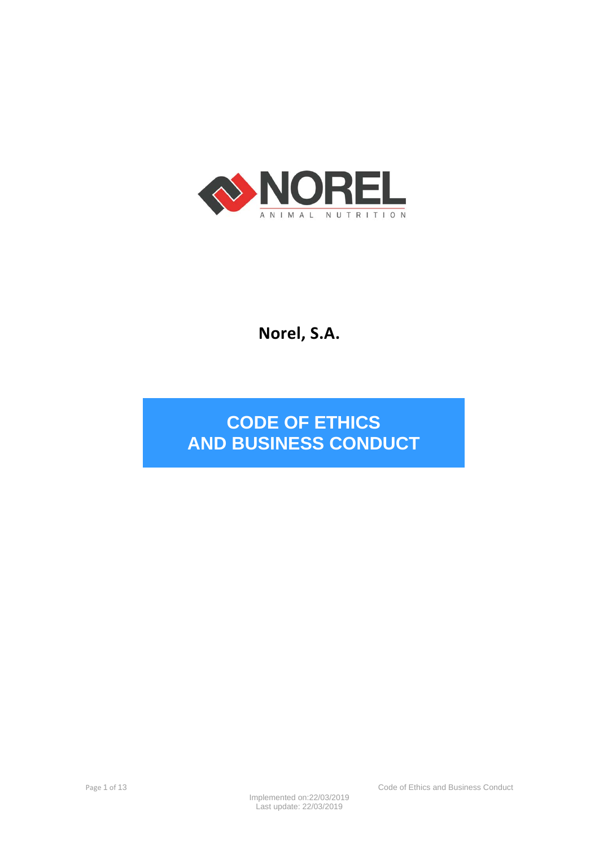

# **Norel, S.A.**

# **CODE OF ETHICS AND BUSINESS CONDUCT**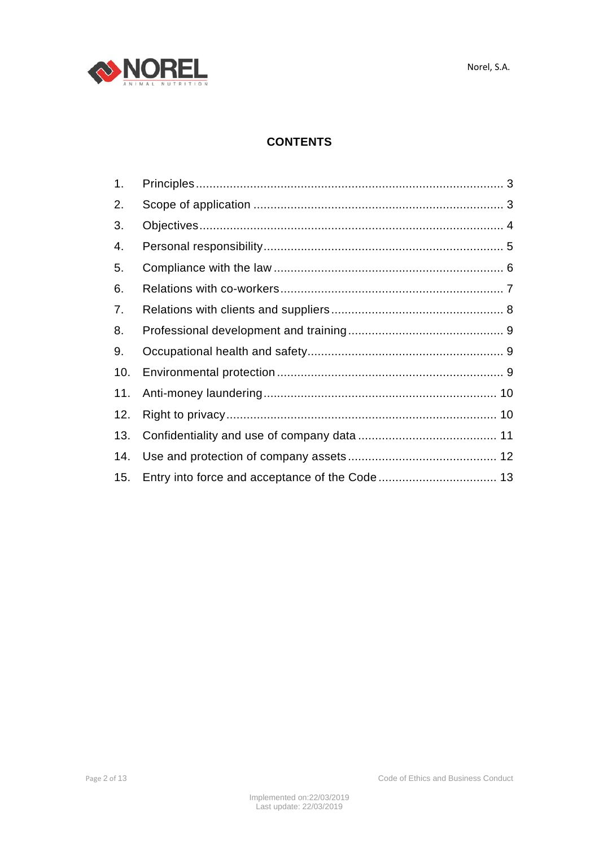



# **CONTENTS**

| 1.  |  |
|-----|--|
| 2.  |  |
| 3.  |  |
| 4.  |  |
| 5.  |  |
| 6.  |  |
| 7.  |  |
| 8.  |  |
| 9.  |  |
| 10. |  |
| 11. |  |
| 12. |  |
| 13. |  |
| 14. |  |
|     |  |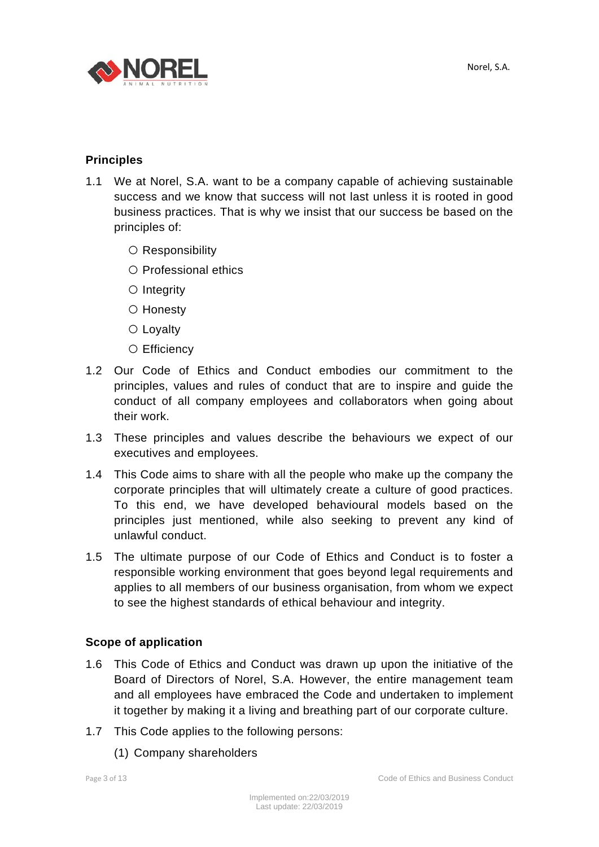

### **Principles**

- 1.1 We at Norel, S.A. want to be a company capable of achieving sustainable success and we know that success will not last unless it is rooted in good business practices. That is why we insist that our success be based on the principles of:
	- Responsibility
	- Professional ethics
	- Integrity
	- Honesty
	- Lovaltv
	- Efficiency
- 1.2 Our Code of Ethics and Conduct embodies our commitment to the principles, values and rules of conduct that are to inspire and guide the conduct of all company employees and collaborators when going about their work.
- 1.3 These principles and values describe the behaviours we expect of our executives and employees.
- 1.4 This Code aims to share with all the people who make up the company the corporate principles that will ultimately create a culture of good practices. To this end, we have developed behavioural models based on the principles just mentioned, while also seeking to prevent any kind of unlawful conduct.
- 1.5 The ultimate purpose of our Code of Ethics and Conduct is to foster a responsible working environment that goes beyond legal requirements and applies to all members of our business organisation, from whom we expect to see the highest standards of ethical behaviour and integrity.

### **Scope of application**

- 1.6 This Code of Ethics and Conduct was drawn up upon the initiative of the Board of Directors of Norel, S.A. However, the entire management team and all employees have embraced the Code and undertaken to implement it together by making it a living and breathing part of our corporate culture.
- 1.7 This Code applies to the following persons:
	- (1) Company shareholders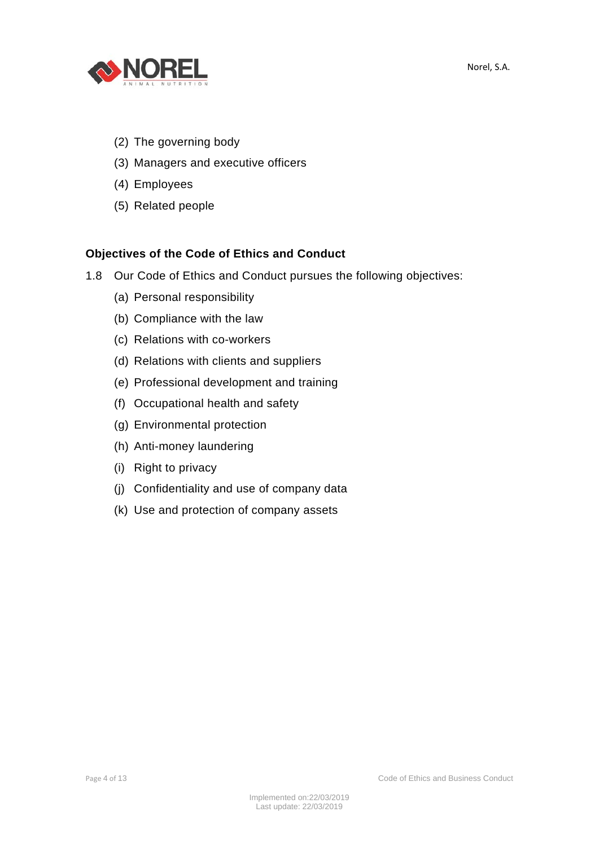

- (2) The governing body
- (3) Managers and executive officers
- (4) Employees
- (5) Related people

## **Objectives of the Code of Ethics and Conduct**

- 1.8 Our Code of Ethics and Conduct pursues the following objectives:
	- (a) Personal responsibility
	- (b) Compliance with the law
	- (c) Relations with co-workers
	- (d) Relations with clients and suppliers
	- (e) Professional development and training
	- (f) Occupational health and safety
	- (g) Environmental protection
	- (h) Anti-money laundering
	- (i) Right to privacy
	- (j) Confidentiality and use of company data
	- (k) Use and protection of company assets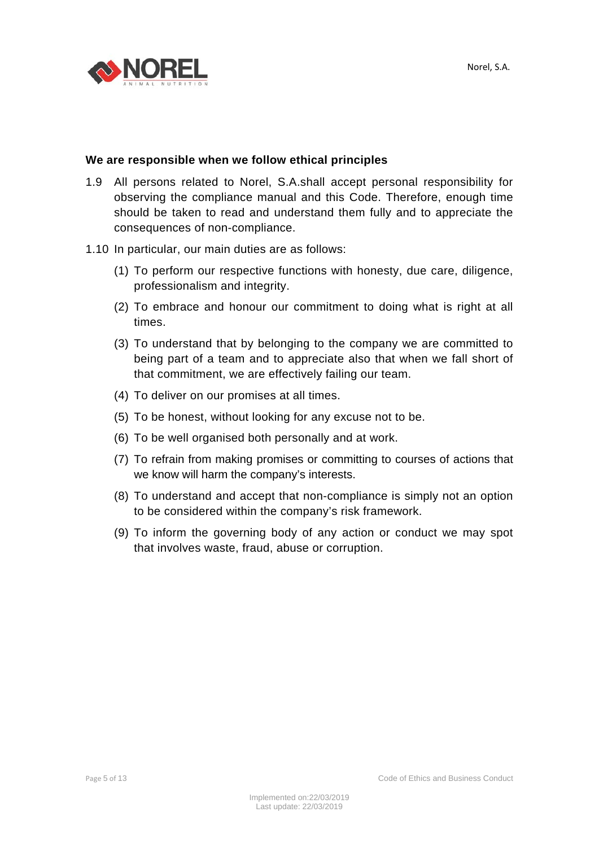

#### **We are responsible when we follow ethical principles**

- 1.9 All persons related to Norel, S.A.shall accept personal responsibility for observing the compliance manual and this Code. Therefore, enough time should be taken to read and understand them fully and to appreciate the consequences of non-compliance.
- 1.10 In particular, our main duties are as follows:
	- (1) To perform our respective functions with honesty, due care, diligence, professionalism and integrity.
	- (2) To embrace and honour our commitment to doing what is right at all times.
	- (3) To understand that by belonging to the company we are committed to being part of a team and to appreciate also that when we fall short of that commitment, we are effectively failing our team.
	- (4) To deliver on our promises at all times.
	- (5) To be honest, without looking for any excuse not to be.
	- (6) To be well organised both personally and at work.
	- (7) To refrain from making promises or committing to courses of actions that we know will harm the company's interests.
	- (8) To understand and accept that non-compliance is simply not an option to be considered within the company's risk framework.
	- (9) To inform the governing body of any action or conduct we may spot that involves waste, fraud, abuse or corruption.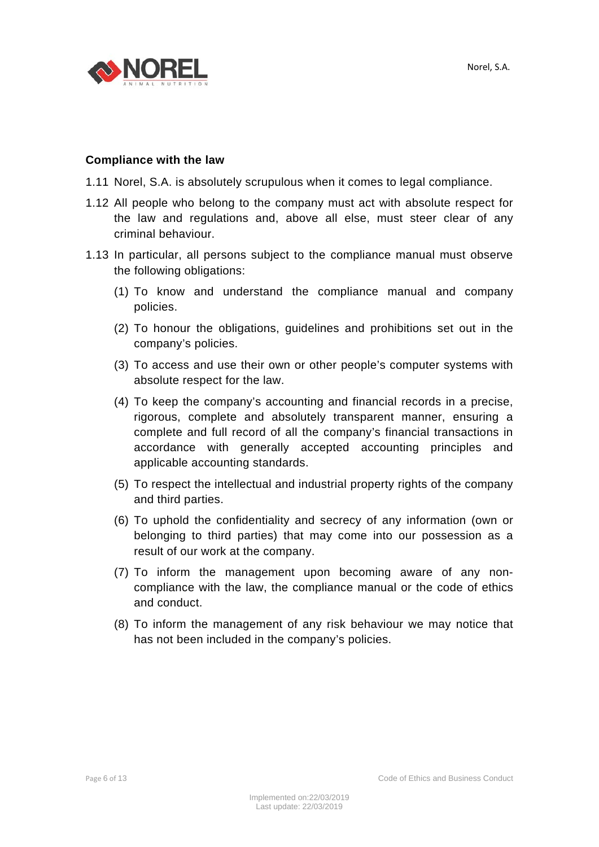

#### **Compliance with the law**

- 1.11 Norel, S.A. is absolutely scrupulous when it comes to legal compliance.
- 1.12 All people who belong to the company must act with absolute respect for the law and regulations and, above all else, must steer clear of any criminal behaviour.
- 1.13 In particular, all persons subject to the compliance manual must observe the following obligations:
	- (1) To know and understand the compliance manual and company policies.
	- (2) To honour the obligations, guidelines and prohibitions set out in the company's policies.
	- (3) To access and use their own or other people's computer systems with absolute respect for the law.
	- (4) To keep the company's accounting and financial records in a precise, rigorous, complete and absolutely transparent manner, ensuring a complete and full record of all the company's financial transactions in accordance with generally accepted accounting principles and applicable accounting standards.
	- (5) To respect the intellectual and industrial property rights of the company and third parties.
	- (6) To uphold the confidentiality and secrecy of any information (own or belonging to third parties) that may come into our possession as a result of our work at the company.
	- (7) To inform the management upon becoming aware of any noncompliance with the law, the compliance manual or the code of ethics and conduct.
	- (8) To inform the management of any risk behaviour we may notice that has not been included in the company's policies.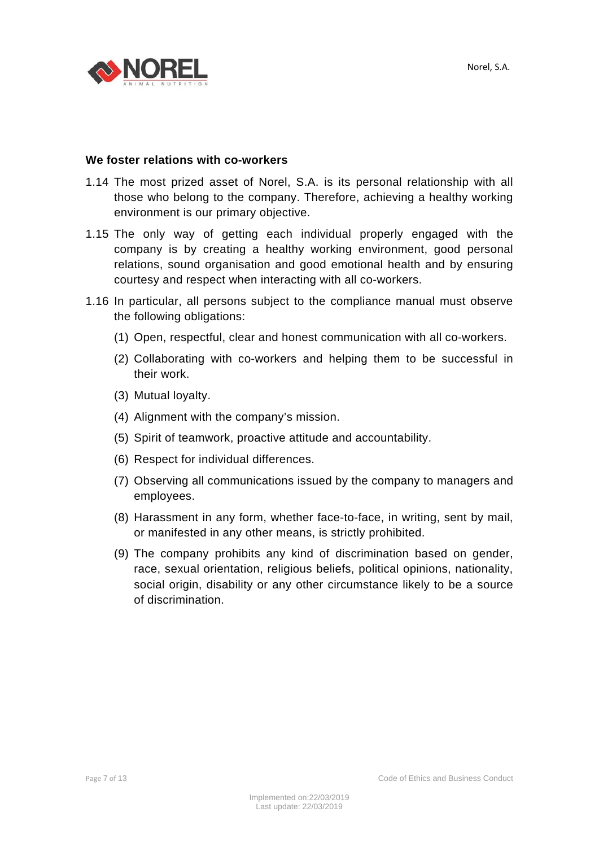

#### **We foster relations with co-workers**

- 1.14 The most prized asset of Norel, S.A. is its personal relationship with all those who belong to the company. Therefore, achieving a healthy working environment is our primary objective.
- 1.15 The only way of getting each individual properly engaged with the company is by creating a healthy working environment, good personal relations, sound organisation and good emotional health and by ensuring courtesy and respect when interacting with all co-workers.
- 1.16 In particular, all persons subject to the compliance manual must observe the following obligations:
	- (1) Open, respectful, clear and honest communication with all co-workers.
	- (2) Collaborating with co-workers and helping them to be successful in their work.
	- (3) Mutual loyalty.
	- (4) Alignment with the company's mission.
	- (5) Spirit of teamwork, proactive attitude and accountability.
	- (6) Respect for individual differences.
	- (7) Observing all communications issued by the company to managers and employees.
	- (8) Harassment in any form, whether face-to-face, in writing, sent by mail, or manifested in any other means, is strictly prohibited.
	- (9) The company prohibits any kind of discrimination based on gender, race, sexual orientation, religious beliefs, political opinions, nationality, social origin, disability or any other circumstance likely to be a source of discrimination.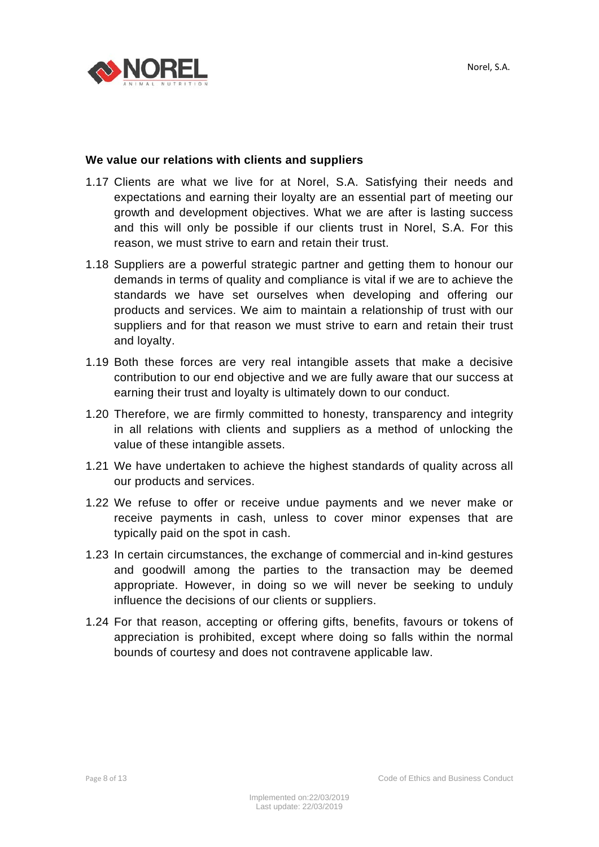

#### **We value our relations with clients and suppliers**

- 1.17 Clients are what we live for at Norel, S.A. Satisfying their needs and expectations and earning their loyalty are an essential part of meeting our growth and development objectives. What we are after is lasting success and this will only be possible if our clients trust in Norel, S.A. For this reason, we must strive to earn and retain their trust.
- 1.18 Suppliers are a powerful strategic partner and getting them to honour our demands in terms of quality and compliance is vital if we are to achieve the standards we have set ourselves when developing and offering our products and services. We aim to maintain a relationship of trust with our suppliers and for that reason we must strive to earn and retain their trust and loyalty.
- 1.19 Both these forces are very real intangible assets that make a decisive contribution to our end objective and we are fully aware that our success at earning their trust and loyalty is ultimately down to our conduct.
- 1.20 Therefore, we are firmly committed to honesty, transparency and integrity in all relations with clients and suppliers as a method of unlocking the value of these intangible assets.
- 1.21 We have undertaken to achieve the highest standards of quality across all our products and services.
- 1.22 We refuse to offer or receive undue payments and we never make or receive payments in cash, unless to cover minor expenses that are typically paid on the spot in cash.
- 1.23 In certain circumstances, the exchange of commercial and in-kind gestures and goodwill among the parties to the transaction may be deemed appropriate. However, in doing so we will never be seeking to unduly influence the decisions of our clients or suppliers.
- 1.24 For that reason, accepting or offering gifts, benefits, favours or tokens of appreciation is prohibited, except where doing so falls within the normal bounds of courtesy and does not contravene applicable law.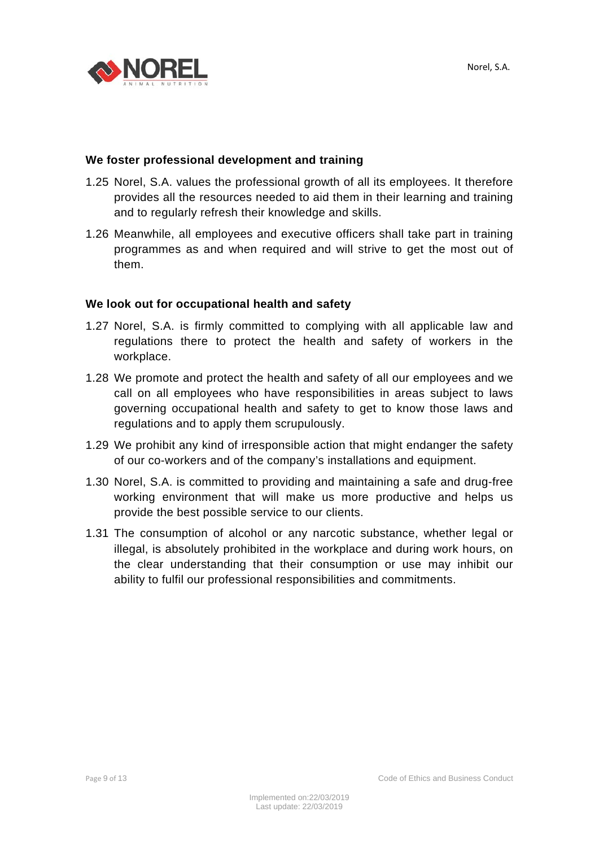

#### **We foster professional development and training**

- 1.25 Norel, S.A. values the professional growth of all its employees. It therefore provides all the resources needed to aid them in their learning and training and to regularly refresh their knowledge and skills.
- 1.26 Meanwhile, all employees and executive officers shall take part in training programmes as and when required and will strive to get the most out of them.

#### **We look out for occupational health and safety**

- 1.27 Norel, S.A. is firmly committed to complying with all applicable law and regulations there to protect the health and safety of workers in the workplace.
- 1.28 We promote and protect the health and safety of all our employees and we call on all employees who have responsibilities in areas subject to laws governing occupational health and safety to get to know those laws and regulations and to apply them scrupulously.
- 1.29 We prohibit any kind of irresponsible action that might endanger the safety of our co-workers and of the company's installations and equipment.
- 1.30 Norel, S.A. is committed to providing and maintaining a safe and drug-free working environment that will make us more productive and helps us provide the best possible service to our clients.
- 1.31 The consumption of alcohol or any narcotic substance, whether legal or illegal, is absolutely prohibited in the workplace and during work hours, on the clear understanding that their consumption or use may inhibit our ability to fulfil our professional responsibilities and commitments.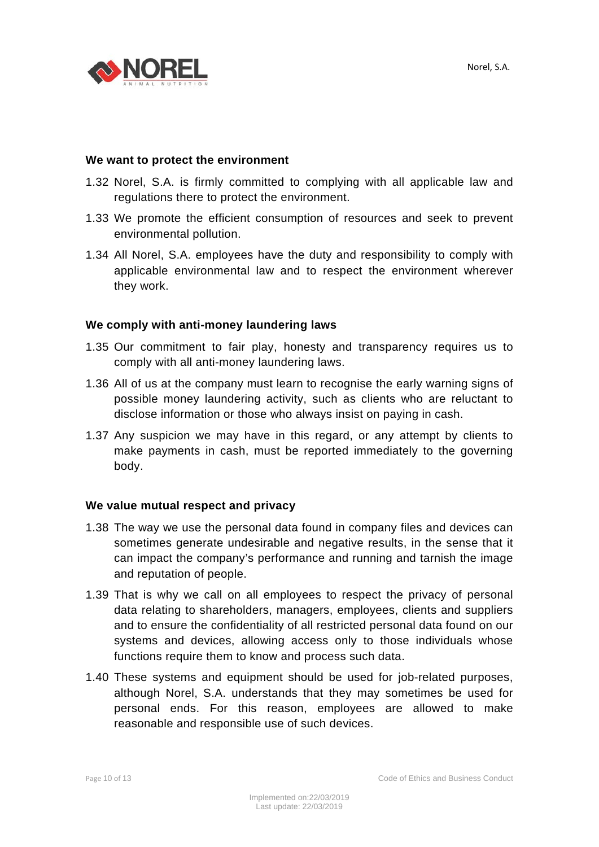



#### **We want to protect the environment**

- 1.32 Norel, S.A. is firmly committed to complying with all applicable law and regulations there to protect the environment.
- 1.33 We promote the efficient consumption of resources and seek to prevent environmental pollution.
- 1.34 All Norel, S.A. employees have the duty and responsibility to comply with applicable environmental law and to respect the environment wherever they work.

#### **We comply with anti-money laundering laws**

- 1.35 Our commitment to fair play, honesty and transparency requires us to comply with all anti-money laundering laws.
- 1.36 All of us at the company must learn to recognise the early warning signs of possible money laundering activity, such as clients who are reluctant to disclose information or those who always insist on paying in cash.
- 1.37 Any suspicion we may have in this regard, or any attempt by clients to make payments in cash, must be reported immediately to the governing body.

#### **We value mutual respect and privacy**

- 1.38 The way we use the personal data found in company files and devices can sometimes generate undesirable and negative results, in the sense that it can impact the company's performance and running and tarnish the image and reputation of people.
- 1.39 That is why we call on all employees to respect the privacy of personal data relating to shareholders, managers, employees, clients and suppliers and to ensure the confidentiality of all restricted personal data found on our systems and devices, allowing access only to those individuals whose functions require them to know and process such data.
- 1.40 These systems and equipment should be used for job-related purposes, although Norel, S.A. understands that they may sometimes be used for personal ends. For this reason, employees are allowed to make reasonable and responsible use of such devices.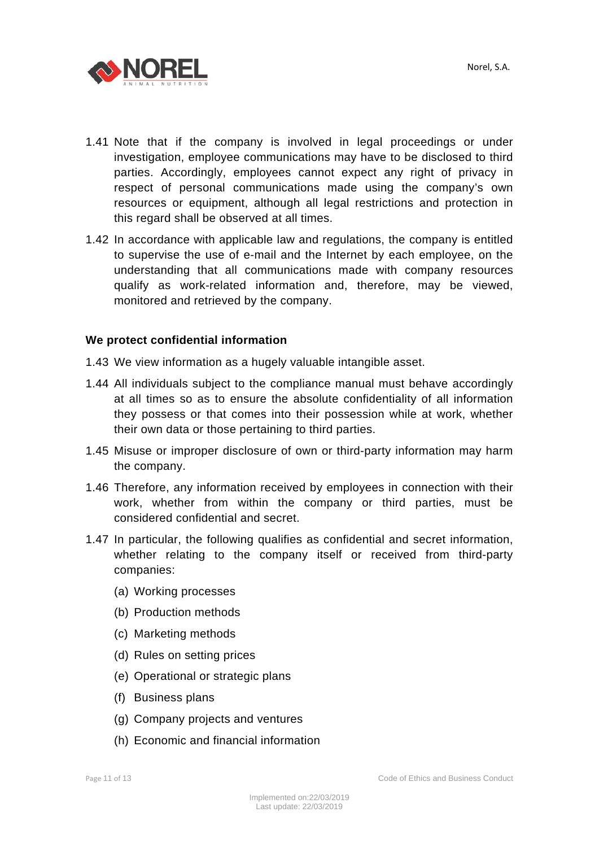

- 1.41 Note that if the company is involved in legal proceedings or under investigation, employee communications may have to be disclosed to third parties. Accordingly, employees cannot expect any right of privacy in respect of personal communications made using the company's own resources or equipment, although all legal restrictions and protection in this regard shall be observed at all times.
- 1.42 In accordance with applicable law and regulations, the company is entitled to supervise the use of e-mail and the Internet by each employee, on the understanding that all communications made with company resources qualify as work-related information and, therefore, may be viewed, monitored and retrieved by the company.

#### **We protect confidential information**

- 1.43 We view information as a hugely valuable intangible asset.
- 1.44 All individuals subject to the compliance manual must behave accordingly at all times so as to ensure the absolute confidentiality of all information they possess or that comes into their possession while at work, whether their own data or those pertaining to third parties.
- 1.45 Misuse or improper disclosure of own or third-party information may harm the company.
- 1.46 Therefore, any information received by employees in connection with their work, whether from within the company or third parties, must be considered confidential and secret.
- 1.47 In particular, the following qualifies as confidential and secret information, whether relating to the company itself or received from third-party companies:
	- (a) Working processes
	- (b) Production methods
	- (c) Marketing methods
	- (d) Rules on setting prices
	- (e) Operational or strategic plans
	- (f) Business plans
	- (g) Company projects and ventures
	- (h) Economic and financial information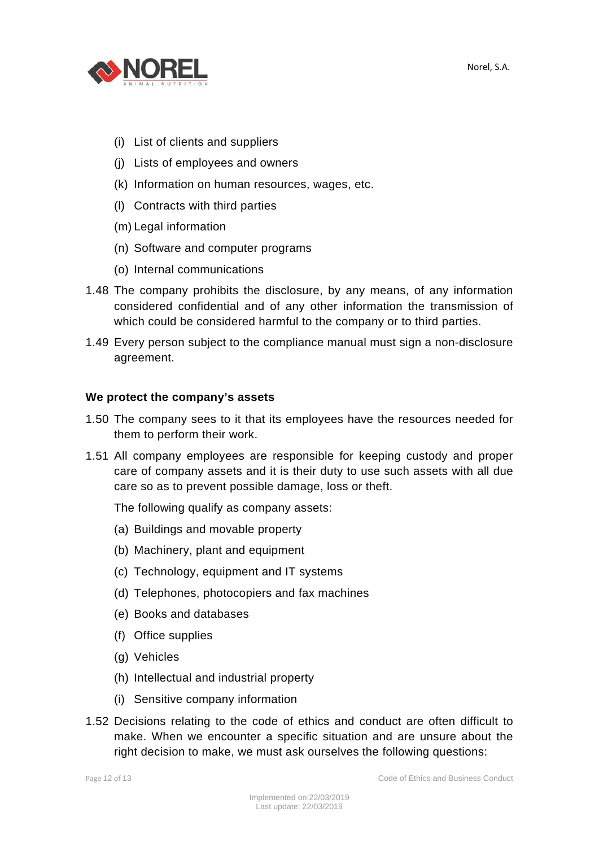

- (i) List of clients and suppliers
- (j) Lists of employees and owners
- (k) Information on human resources, wages, etc.
- (l) Contracts with third parties
- (m) Legal information
- (n) Software and computer programs
- (o) Internal communications
- 1.48 The company prohibits the disclosure, by any means, of any information considered confidential and of any other information the transmission of which could be considered harmful to the company or to third parties.
- 1.49 Every person subject to the compliance manual must sign a non-disclosure agreement.

#### **We protect the company's assets**

- 1.50 The company sees to it that its employees have the resources needed for them to perform their work.
- 1.51 All company employees are responsible for keeping custody and proper care of company assets and it is their duty to use such assets with all due care so as to prevent possible damage, loss or theft.

The following qualify as company assets:

- (a) Buildings and movable property
- (b) Machinery, plant and equipment
- (c) Technology, equipment and IT systems
- (d) Telephones, photocopiers and fax machines
- (e) Books and databases
- (f) Office supplies
- (g) Vehicles
- (h) Intellectual and industrial property
- (i) Sensitive company information
- 1.52 Decisions relating to the code of ethics and conduct are often difficult to make. When we encounter a specific situation and are unsure about the right decision to make, we must ask ourselves the following questions: